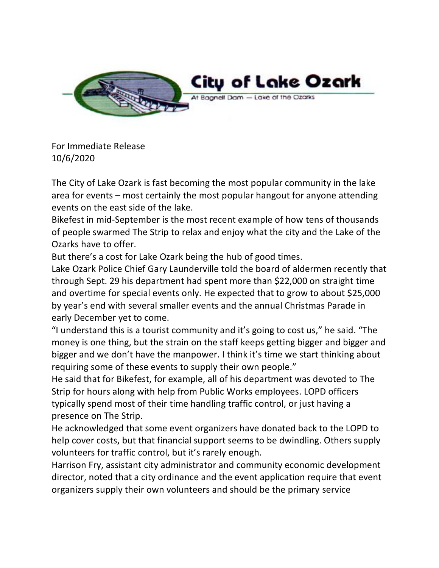

For Immediate Release 10/6/2020

The City of Lake Ozark is fast becoming the most popular community in the lake area for events – most certainly the most popular hangout for anyone attending events on the east side of the lake.

Bikefest in mid-September is the most recent example of how tens of thousands of people swarmed The Strip to relax and enjoy what the city and the Lake of the Ozarks have to offer.

But there's a cost for Lake Ozark being the hub of good times.

Lake Ozark Police Chief Gary Launderville told the board of aldermen recently that through Sept. 29 his department had spent more than \$22,000 on straight time and overtime for special events only. He expected that to grow to about \$25,000 by year's end with several smaller events and the annual Christmas Parade in early December yet to come.

"I understand this is a tourist community and it's going to cost us," he said. "The money is one thing, but the strain on the staff keeps getting bigger and bigger and bigger and we don't have the manpower. I think it's time we start thinking about requiring some of these events to supply their own people."

He said that for Bikefest, for example, all of his department was devoted to The Strip for hours along with help from Public Works employees. LOPD officers typically spend most of their time handling traffic control, or just having a presence on The Strip.

He acknowledged that some event organizers have donated back to the LOPD to help cover costs, but that financial support seems to be dwindling. Others supply volunteers for traffic control, but it's rarely enough.

Harrison Fry, assistant city administrator and community economic development director, noted that a city ordinance and the event application require that event organizers supply their own volunteers and should be the primary service